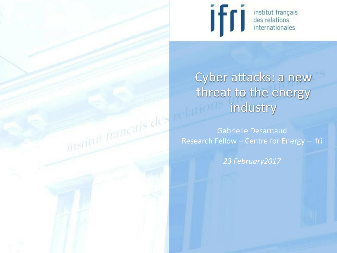



# Cyber attacks: a new industry

Gabrielle Desarnaud Research Fellow – Centre for Energy – Ifri

*23 February2017*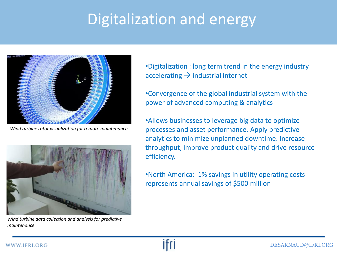### Digitalization and energy



*Wind turbine rotor visualization for remote maintenance*



*Wind turbine data collection and analysis for predictive maintenance*

•Digitalization : long term trend in the energy industry accelerating  $\rightarrow$  industrial internet

•Convergence of the global industrial system with the power of advanced computing & analytics

•Allows businesses to leverage big data to optimize processes and asset performance. Apply predictive analytics to minimize unplanned downtime. Increase throughput, improve product quality and drive resource efficiency.

•North America: 1% savings in utility operating costs represents annual savings of \$500 million

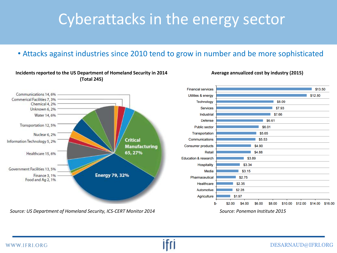### Cyberattacks in the energy sector

#### • Attacks against industries since 2010 tend to grow in number and be more sophisticated



#### **Incidents reported to the US Department of Homeland Security in 2014 (Total 245)**



**Average annualized cost by industry (2015)**

*Source: Ponemon Institute 2015*

*Source: US Department of Homeland Security, ICS-CERT Monitor 2014*



#### DESARNAUD@IFRI.ORG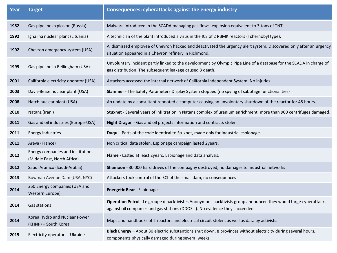| Year | <b>Target</b>                                                    | Consequences: cyberattacks against the energy industry                                                                                                                                       |
|------|------------------------------------------------------------------|----------------------------------------------------------------------------------------------------------------------------------------------------------------------------------------------|
| 1982 | Gas pipeline explosion (Russia)                                  | Malware introduced in the SCADA managing gas flows, explosion equivalent to 3 tons of TNT                                                                                                    |
| 1992 | Ignalina nuclear plant (Lituania)                                | A technician of the plant introduced a virus in the ICS of 2 RBMK reactors (Tchernobyl type).                                                                                                |
| 1992 | Chevron emergency system (USA)                                   | A dismissed employee of Chevron hacked and deactivated the urgency alert system. Discovered only after an urgency<br>situation appeared in a Chevron refinery in Richmond.                   |
| 1999 | Gas pipeline in Bellingham (USA)                                 | Unvoluntary incident partly linked to the development by Olympic Pipe Line of a database for the SCADA in charge of<br>gas distribution. The subsequent leakage caused 3 death.              |
| 2001 | California electricity operator (USA)                            | Attackers accessed the internal network of California Independent System. No injuries.                                                                                                       |
| 2003 | Davis-Besse nuclear plant (USA)                                  | Slammer - The Safety Parameters Display System stopped (no spying of sabotage functionalities)                                                                                               |
| 2008 | Hatch nuclear plant (USA)                                        | An update by a consultant rebooted a computer causing an unvolontary shutdown of the reactor for 48 hours.                                                                                   |
| 2010 | Natanz (Iran)                                                    | Stuxnet - Several years of infiltration in Natanz complex of uranium enrichment, more than 900 centrifuges damaged.                                                                          |
| 2011 | Gas and oil industries (Europe-USA)                              | Night Dragon - Gas and oil projects information and contracts stolen                                                                                                                         |
| 2011 | Energy industries                                                | Duqu - Parts of the code identical to Stuxnet, made only for industrial espionage.                                                                                                           |
| 2011 | Areva (France)                                                   | Non critical data stolen. Espionage campaign lasted 2years.                                                                                                                                  |
| 2012 | Energy companies and institutions<br>(Middle East, North Africa) | Flame - Lasted at least 2years. Espionage and data analysis.                                                                                                                                 |
| 2012 | Saudi Aramco (Saudi-Arabia)                                      | Shamoon - 30 000 hard drives of the compagny destroyed, no damages to industrial networks                                                                                                    |
| 2013 | Bowman Avenue Dam (USA, NYC)                                     | Attackers took control of the SCI of the small dam, no consequences                                                                                                                          |
| 2014 | 250 Energy companies (USA and<br>Western Europe)                 | <b>Energetic Bear - Espionage</b>                                                                                                                                                            |
| 2014 | Gas stations                                                     | Operation Petrol - Le groupe d'hacktivistes Anonymous hacktivists group announced they would targe cyberattacks<br>against oil companies and gas stations (DDOS). No evidence they succeeded |
| 2014 | Korea Hydro and Nuclear Power<br>(KHNP) - South Korea            | Maps and handbooks of 2 reactors and electrical circuit stolen, as well as data by activists.                                                                                                |
| 2015 | Electricity operators - Ukraine                                  | Black Energy - About 30 electric substantions shut down, 8 provinces without electricity during several hours,<br>components physically damaged during several weeks                         |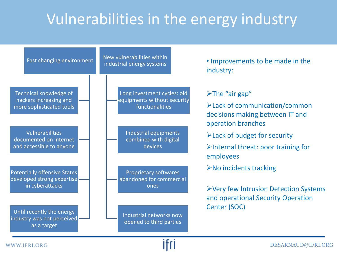## Vulnerabilities in the energy industry



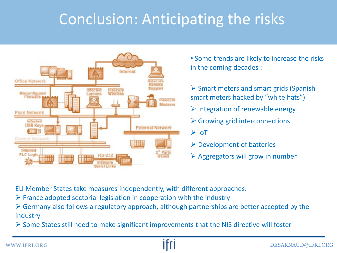### Conclusion: Anticipating the risks



• Some trends are likely to increase the risks in the coming decades :

 $\triangleright$  Smart meters and smart grids (Spanish smart meters hacked by "white hats")

- $\triangleright$  Integration of renewable energy
- $\triangleright$  Growing grid interconnections

 $\triangleright$  IoT

- $\triangleright$  Development of batteries
- $\triangleright$  Aggregators will grow in number

EU Member States take measures independently, with different approaches:

 $\triangleright$  France adopted sectorial legislation in cooperation with the industry

 $\triangleright$  Germany also follows a regulatory approach, although partnerships are better accepted by the industry

 $\triangleright$  Some States still need to make significant improvements that the NIS directive will foster